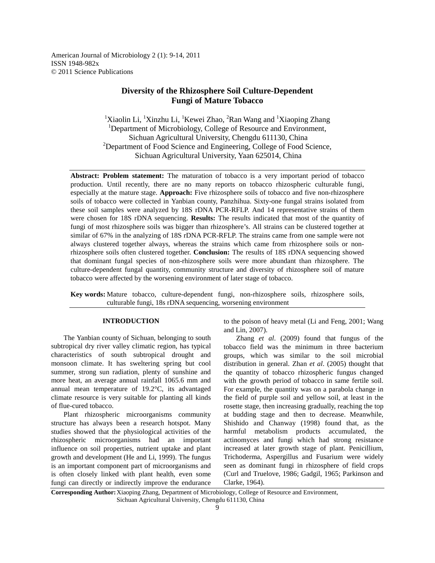American Journal of Microbiology 2 (1): 9-14, 2011 ISSN 1948-982x © 2011 Science Publications

# **Diversity of the Rhizosphere Soil Culture-Dependent Fungi of Mature Tobacco**

<sup>1</sup>Xiaolin Li, <sup>1</sup>Xinzhu Li, <sup>1</sup>Kewei Zhao, <sup>2</sup>Ran Wang and <sup>1</sup>Xiaoping Zhang <sup>1</sup>Department of Microbiology, College of Resource and Environment, Sichuan Agricultural University, Chengdu 611130, China  $2D$ epartment of Food Science and Engineering, College of Food Science, Sichuan Agricultural University, Yaan 625014, China

**Abstract: Problem statement:** The maturation of tobacco is a very important period of tobacco production. Until recently, there are no many reports on tobacco rhizospheric culturable fungi, especially at the mature stage. **Approach:** Five rhizosphere soils of tobacco and five non-rhizosphere soils of tobacco were collected in Yanbian county, Panzhihua. Sixty-one fungal strains isolated from these soil samples were analyzed by 18S rDNA PCR-RFLP. And 14 representative strains of them were chosen for 18S rDNA sequencing. **Results:** The results indicated that most of the quantity of fungi of most rhizosphere soils was bigger than rhizosphere's. All strains can be clustered together at similar of 67% in the analyzing of 18S rDNA PCR-RFLP. The strains came from one sample were not always clustered together always, whereas the strains which came from rhizosphere soils or nonrhizosphere soils often clustered together. **Conclusion:** The results of 18S rDNA sequencing showed that dominant fungal species of non-rhizosphere soils were more abundant than rhizosphere. The culture-dependent fungal quantity, community structure and diversity of rhizosphere soil of mature tobacco were affected by the worsening environment of later stage of tobacco.

**Key words:** Mature tobacco, culture-dependent fungi, non-rhizosphere soils, rhizosphere soils, culturable fungi, 18s rDNA sequencing, worsening environment

### **INTRODUCTION**

 The Yanbian county of Sichuan, belonging to south subtropical dry river valley climatic region, has typical characteristics of south subtropical drought and monsoon climate. It has sweltering spring but cool summer, strong sun radiation, plenty of sunshine and more heat, an average annual rainfall 1065.6 mm and annual mean temperature of 19.2°C, its advantaged climate resource is very suitable for planting all kinds of flue-cured tobacco.

 Plant rhizospheric microorganisms community structure has always been a research hotspot. Many studies showed that the physiological activities of the rhizospheric microorganisms had an important influence on soil properties, nutrient uptake and plant growth and development (He and Li, 1999). The fungus is an important component part of microorganisms and is often closely linked with plant health, even some fungi can directly or indirectly improve the endurance to the poison of heavy metal (Li and Feng, 2001; Wang and Lin, 2007).

 Zhang *et al*. (2009) found that fungus of the tobacco field was the minimum in three bacterium groups, which was similar to the soil microbial distribution in general. Zhan *et al*. (2005) thought that the quantity of tobacco rhizospheric fungus changed with the growth period of tobacco in same fertile soil. For example, the quantity was on a parabola change in the field of purple soil and yellow soil, at least in the rosette stage, then increasing gradually, reaching the top at budding stage and then to decrease. Meanwhile, Shishido and Chanway (1998) found that, as the harmful metabolism products accumulated, the actinomyces and fungi which had strong resistance increased at later growth stage of plant. Penicillium, Trichoderma, Aspergillus and Fusarium were widely seen as dominant fungi in rhizosphere of field crops (Curl and Truelove, 1986; Gadgil, 1965; Parkinson and Clarke, 1964).

**Corresponding Author:** Xiaoping Zhang, Department of Microbiology, College of Resource and Environment, Sichuan Agricultural University, Chengdu 611130, China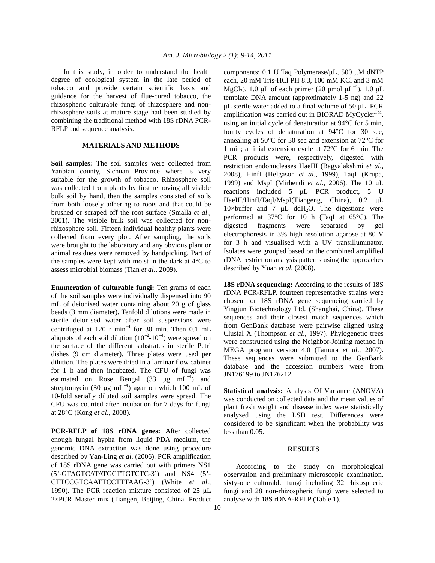In this study, in order to understand the health degree of ecological system in the late period of tobacco and provide certain scientific basis and guidance for the harvest of flue-cured tobacco, the rhizospheric culturable fungi of rhizosphere and nonrhizosphere soils at mature stage had been studied by combining the traditional method with 18S rDNA PCR-RFLP and sequence analysis.

# **MATERIALS AND METHODS**

**Soil samples:** The soil samples were collected from Yanbian county, Sichuan Province where is very suitable for the growth of tobacco. Rhizosphere soil was collected from plants by first removing all visible bulk soil by hand, then the samples consisted of soils from both loosely adhering to roots and that could be brushed or scraped off the root surface (Smalla *et al*., 2001). The visible bulk soil was collected for nonrhizosphere soil. Fifteen individual healthy plants were collected from every plot. After sampling, the soils were brought to the laboratory and any obvious plant or animal residues were removed by handpicking. Part of the samples were kept with moist in the dark at 4°C to assess microbial biomass (Tian *et al*., 2009).

**Enumeration of culturable fungi:** Ten grams of each of the soil samples were individually dispensed into 90 mL of deionised water containing about 20 g of glass beads (3 mm diameter). Tenfold dilutions were made in sterile deionised water after soil suspensions were centrifuged at 120 r min<sup>-1</sup> for 30 min. Then 0.1 mL aliquots of each soil dilution  $(10^{-2}$ - $10^{-4})$  were spread on the surface of the different substrates in sterile Petri dishes (9 cm diameter). Three plates were used per dilution. The plates were dried in a laminar flow cabinet for 1 h and then incubated. The CFU of fungi was estimated on Rose Bengal (33  $\mu$ g mL<sup>-1</sup>) and streptomycin (30 µg mL<sup>-1</sup>) agar on which 100 mL of 10-fold serially diluted soil samples were spread. The CFU was counted after incubation for 7 days for fungi at 28°C (Kong *et al*., 2008).

**PCR-RFLP of 18S rDNA genes:** After collected enough fungal hypha from liquid PDA medium, the genomic DNA extraction was done using procedure described by Yan-Ling *et al*. (2006). PCR amplification of 18S rDNA gene was carried out with primers NS1 (5'-GTAGTCATATGCTTGTCTC-3') and NS4 (5'- CTTCCGTCAATTCCTTTAAG-3') (White *et al*., 1990). The PCR reaction mixture consisted of 25 µL 2×PCR Master mix (Tiangen, Beijing, China. Product

10

components: 0.1 U Taq Polymerase/µL, 500 µM dNTP each, 20 mM Tris-HCl PH 8.3, 100 mM KCl and 3 mM MgCl<sub>2</sub>), 1.0 µL of each primer (20 pmol  $\mu L^{-1}$ ), 1.0  $\mu L$ template DNA amount (approximately 1-5 ng) and 22 µL sterile water added to a final volume of 50 µL. PCR amplification was carried out in BIORAD MyCycler<sup>TM</sup> , using an initial cycle of denaturation at 94°C for 5 min, fourty cycles of denaturation at 94°C for 30 sec, annealing at 50°C for 30 sec and extension at 72°C for 1 min; a finial extension cycle at 72°C for 6 min. The PCR products were, respectively, digested with restriction endonucleases HaeIII (Bagyalakshmi *et al*., 2008), HinfI (Helgason *et al*., 1999), TaqI (Krupa, 1999) and MspI (Mirhendi *et al*., 2006). The 10 µL reactions included 5 µL PCR product, 5 U HaeIII/HinfI/TaqI/MspI(Tiangeng, China), 0.2 µL 10×buffer and 7  $\mu$ L ddH<sub>2</sub>O. The digestions were performed at 37°C for 10 h (TaqI at 65°C). The digested fragments were separated by gel electrophoresis in 3% high resolution agarose at 80 V for 3 h and visualised with a UV transilluminator. Isolates were grouped based on the combined amplified rDNA restriction analysis patterns using the approaches described by Yuan *et al*. (2008).

**18S rDNA sequencing:** According to the results of 18S rDNA PCR-RFLP, fourteen representative strains were chosen for 18S rDNA gene sequencing carried by Yingjun Biotechnology Ltd. (Shanghai, China). These sequences and their closest match sequences which from GenBank database were pairwise aligned using Clustal X (Thompson *et al*., 1997). Phylogenetic trees were constructed using the Neighbor-Joining method in MEGA program version 4.0 (Tamura *et al*., 2007). These sequences were submitted to the GenBank database and the accession numbers were from JN176199 to JN176212.

**Statistical analysis:** Analysis Of Variance (ANOVA) was conducted on collected data and the mean values of plant fresh weight and disease index were statistically analyzed using the LSD test. Differences were considered to be significant when the probability was less than 0.05.

### **RESULTS**

 According to the study on morphological observation and preliminary microscopic examination, sixty-one culturable fungi including 32 rhizospheric fungi and 28 non-rhizospheric fungi were selected to analyze with 18S rDNA-RFLP (Table 1).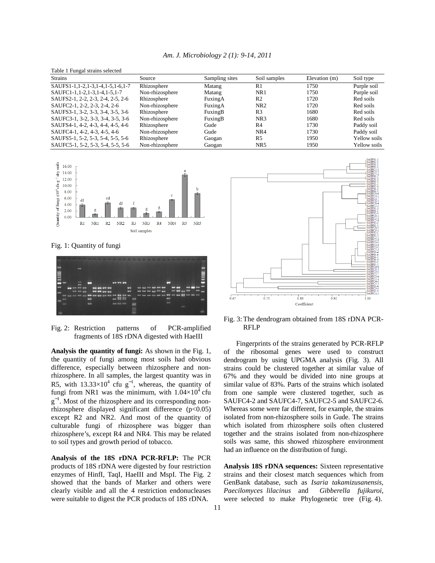| Table 1 Fungal strains selected   |                 |                |                 |               |              |
|-----------------------------------|-----------------|----------------|-----------------|---------------|--------------|
| <b>Strains</b>                    | Source          | Sampling sites | Soil samples    | Elevation (m) | Soil type    |
| SAUFS1-1,1-2,1-3,1-4,1-5,1-6,1-7  | Rhizosphere     | Matang         | R1              | 1750          | Purple soil  |
| SAUFC1-1, 1-2, 1-3, 1-4, 1-5, 1-7 | Non-rhizosphere | Matang         | NR1             | 1750          | Purple soil  |
| SAUFS2-1, 2-2, 2-3, 2-4, 2-5, 2-6 | Rhizosphere     | FuxingA        | R <sub>2</sub>  | 1720          | Red soils    |
| SAUFC2-1, 2-2, 2-3, 2-4, 2-6      | Non-rhizosphere | FuxingA        | NR <sub>2</sub> | 1720          | Red soils    |
| SAUFS3-1, 3-2, 3-3, 3-4, 3-5, 3-6 | Rhizosphere     | FuxingB        | R <sub>3</sub>  | 1680          | Red soils    |
| SAUFC3-1, 3-2, 3-3, 3-4, 3-5, 3-6 | Non-rhizosphere | FuxingB        | NR <sub>3</sub> | 1680          | Red soils    |
| SAUFS4-1, 4-2, 4-3, 4-4, 4-5, 4-6 | Rhizosphere     | Gude           | R <sub>4</sub>  | 1730          | Paddy soil   |
| SAUFC4-1, 4-2, 4-3, 4-5, 4-6      | Non-rhizosphere | Gude           | NR4             | 1730          | Paddy soil   |
| SAUFS5-1, 5-2, 5-3, 5-4, 5-5, 5-6 | Rhizosphere     | Gaogan         | R <sub>5</sub>  | 1950          | Yellow soils |
| SAUFC5-1, 5-2, 5-3, 5-4, 5-5, 5-6 | Non-rhizosphere | Gaogan         | NR <sub>5</sub> | 1950          | Yellow soils |



Fig. 1: Quantity of fungi



Fig. 2: Restriction patterns of PCR-amplified fragments of 18S rDNA digested with HaeIII

**Analysis the quantity of fungi:** As shown in the Fig. 1, the quantity of fungi among most soils had obvious difference, especially between rhizosphere and nonrhizosphere. In all samples, the largest quantity was in R5, with  $13.33 \times 10^4$  cfu g<sup>-1</sup>, whereas, the quantity of fungi from NR1 was the minimum, with  $1.04\times10^4$  cfu  $g^{-1}$ . Most of the rhizosphere and its corresponding nonrhizosphere displayed significant difference (p<0.05) except R2 and NR2. And most of the quantity of culturable fungi of rhizosphere was bigger than rhizosphere's, except R4 and NR4. This may be related to soil types and growth period of tobacco.

**Analysis of the 18S rDNA PCR-RFLP:** The PCR products of 18S rDNA were digested by four restriction enzymes of HinfI, TaqI, HaeIII and MspI. The Fig. 2 showed that the bands of Marker and others were clearly visible and all the 4 restriction endonucleases were suitable to digest the PCR products of 18S rDNA.



Fig. 3: The dendrogram obtained from 18S rDNA PCR-RFLP

 Fingerprints of the strains generated by PCR-RFLP of the ribosomal genes were used to construct dendrogram by using UPGMA analysis (Fig. 3). All strains could be clustered together at similar value of 67% and they would be divided into nine groups at similar value of 83%. Parts of the strains which isolated from one sample were clustered together, such as SAUFC4-2 and SAUFC4-7, SAUFC2-5 and SAUFC2-6. Whereas some were far different, for example, the strains isolated from non-rhizosphere soils in Gude. The strains which isolated from rhizosphere soils often clustered together and the strains isolated from non-rhizosphere soils was same, this showed rhizosphere environment had an influence on the distribution of fungi.

**Analysis 18S rDNA sequences:** Sixteen representative strains and their closest match sequences which from GenBank database, such as *Isaria takamizusanensis, Paecilomyces lilacinus* and *Gibberella fujikuroi*, were selected to make Phylogenetic tree (Fig. 4).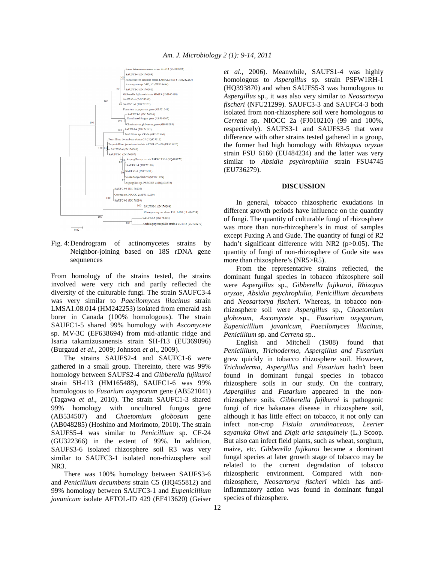

Fig. 4: Dendrogram of actinomycetes strains by Neighbor-joining based on 18S rDNA gene sequnences

From homology of the strains tested, the strains involved were very rich and partly reflected the diversity of the culturable fungi. The strain SAUFC3-4 was very similar to *Paecilomyces lilacinus* strain LMSA1.08.014 (HM242253) isolated from emerald ash borer in Canada (100% homologous). The strain SAUFC1-5 shared 99% homology with *Ascomycete* sp. MV-3C (EF638694) from mid-atlantic ridge and Isaria takamizusanensis strain SH-f13 (EU369096) (Burgaud *et al*., 2009; Johnson *et al*., 2009).

 The strains SAUFS2-4 and SAUFC1-6 were gathered in a small group. Thereinto, there was 99% homology between SAUFS2-4 and *Gibberella fujikuroi*  strain SH-f13 (HM165488), SAUFC1-6 was 99% homologous to *Fusarium oxysporum* gene (AB521041) (Tagawa *et al*., 2010). The strain SAUFC1-3 shared 99% homology with uncultured fungus gene (AB534507) and *Chaetomium globosum* gene (AB048285) (Hoshino and Morimoto, 2010). The strain SAUFS5-4 was similar to *Penicillium* sp. CF-24 (GU322366) in the extent of 99%. In addition, SAUFS3-6 isolated rhizosphere soil R3 was very similar to SAUFC3-1 isolated non-rhizosphere soil NR3.

 There was 100% homology between SAUFS3-6 and *Penicillium decumbens* strain C5 (HQ455812) and 99% homology between SAUFC3-1 and *Eupenicillium javanicum* isolate AFTOL-ID 429 (EF413620) (Geiser *et al*., 2006). Meanwhile, SAUFS1-4 was highly homologous to *Aspergillus* sp. strain PSFW1RH-1 (HQ393870) and when SAUFS5-3 was homologous to *Aspergillus* sp., it was also very similar to *Neosartorya fischeri* (NFU21299). SAUFC3-3 and SAUFC4-3 both isolated from non-rhizosphere soil were homologous to *Cerrena* sp. NIOCC 2a (FJ010210) (99 and 100%, respectively). SAUFS3-1 and SAUFS3-5 that were difference with other strains tested gathered in a group, the former had high homology with *Rhizopus oryzae* strain FSU 6160 (EU484234) and the latter was very similar to *Absidia psychrophilia* strain FSU4745 (EU736279).

#### **DISCUSSION**

 In general, tobacco rhizospheric exudations in different growth periods have influence on the quantity of fungi. The quantity of culturable fungi of rhizosphere was more than non-rhizosphere's in most of samples except Fuxing A and Gude. The quantity of fungi of R2 hadn't significant difference with NR2 (p>0.05). The quantity of fungi of non-rhizosphere of Gude site was more than rhizosphere's (NR5>R5).

 From the representative strains reflected, the dominant fungal species in tobacco rhizosphere soil were *Aspergillus* sp., *Gibberella fujikuroi*, *Rhizopus oryzae*, *Absidia psychrophilia*, *Penicillium decumbens* and *Neosartorya fischeri*. Whereas, in tobacco nonrhizosphere soil were *Aspergillus* sp., C*haetomium globosum*, *Ascomycete* sp., *Fusarium oxysporum*, *Eupenicillium javanicum*, *Paecilomyces lilacinus*, *Penicillium* sp. and *Cerrena* sp..

 English and Mitchell (1988) found that *Penicillium, Trichoderma, Aspergillus and Fusarium* grew quickly in tobacco rhizosphere soil. However, *Trichoderma, Aspergillus* and *Fusarium* hadn't been found in dominant fungal species in tobacco rhizosphere soils in our study. On the contrary, *Aspergillus* and *Fusarium* appeared in the nonrhizosphere soils. *Gibberella fujikuroi* is pathogenic fungi of rice bakanaea disease in rhizosphere soil, although it has little effect on tobacco, it not only can infect non-crop *Fistula arundinaceous, Leerier sayanuka Ohwi* and *Digit aria sanguinely* (L.) Scoop. But also can infect field plants, such as wheat, sorghum, maize, etc. *Gibberella fujikuroi* became a dominant fungal species at later growth stage of tobacco may be related to the current degradation of tobacco rhizospheric environment. Compared with nonrhizosphere, *Neosartorya fischeri* which has antiinflammatory action was found in dominant fungal species of rhizosphere.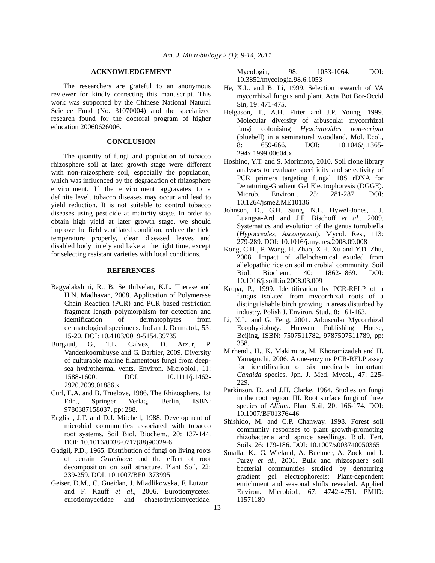#### **ACKNOWLEDGEMENT**

 The researchers are grateful to an anonymous reviewer for kindly correcting this manuscript. This work was supported by the Chinese National Natural Science Fund (No. 31070004) and the specialized research found for the doctoral program of higher education 20060626006.

# **CONCLUSION**

 The quantity of fungi and population of tobacco rhizosphere soil at later growth stage were different with non-rhizosphere soil, especially the population, which was influenced by the degradation of rhizosphere environment. If the environment aggravates to a definite level, tobacco diseases may occur and lead to yield reduction. It is not suitable to control tobacco diseases using pesticide at maturity stage. In order to obtain high yield at later growth stage, we should improve the field ventilated condition, reduce the field temperature properly, clean diseased leaves and disabled body timely and bake at the right time, except for selecting resistant varieties with local conditions.

#### **REFERENCES**

- Bagyalakshmi, R., B. Senthilvelan, K.L. Therese and H.N. Madhavan, 2008. Application of Polymerase Chain Reaction (PCR) and PCR based restriction fragment length polymorphism for detection and identification of dermatophytes from dermatological specimens. Indian J. Dermatol., 53: 15-20. DOI: 10.4103/0019-5154.39735
- Burgaud, G., T.L. Calvez, D. Arzur, P. Vandenkoornhuyse and G. Barbier, 2009. Diversity of culturable marine filamentous fungi from deepsea hydrothermal vents. Environ. Microbiol., 11: 1588-1600. DOI: 10.1111/j.1462-2920.2009.01886.x
- Curl, E.A. and B. Truelove, 1986. The Rhizosphere. 1st Edn., Springer Verlag, Berlin, ISBN: 9780387158037, pp: 288.
- English, J.T. and D.J. Mitchell, 1988. Development of microbial communities associated with tobacco root systems. Soil Biol. Biochem., 20: 137-144. DOI: 10.1016/0038-0717(88)90029-6
- Gadgil, P.D., 1965. Distribution of fungi on living roots of certain *Gramineae* and the effect of root decomposition on soil structure. Plant Soil, 22: 239-259. DOI: 10.1007/BF01373995
- Geiser, D.M., C. Gueidan, J. Miadlikowska, F. Lutzoni and F. Kauff *et al*., 2006. Eurotiomycetes: eurotiomycetidae and chaetothyriomycetidae.

Mycologia, 98: 1053-1064. DOI: 10.3852/mycologia.98.6.1053

- He, X.L. and B. Li, 1999. Selection research of VA mycorrhizal fungus and plant. Acta Bot Bor-Occid Sin, 19: 471-475.
- Helgason, T., A.H. Fitter and J.P. Young, 1999. Molecular diversity of arbuscular mycorrhizal fungi colonising *Hyacinthoides non-scripta* (bluebell) in a seminatural woodland. Mol. Ecol., 8: 659-666. DOI: 10.1046/j.1365- 294x.1999.00604.x
- Hoshino, Y.T. and S. Morimoto, 2010. Soil clone library analyses to evaluate specificity and selectivity of PCR primers targeting fungal 18S rDNA for Denaturing-Gradient Gel Electrophoresis (DGGE). Microb. Environ., 25: 281-287. DOI: 10.1264/jsme2.ME10136
- Johnson, D., G.H. Sung, N.L. Hywel-Jones, J.J. Luangsa-Ard and J.F. Bischoff *et al*., 2009. Systematics and evolution of the genus torrubiella (*Hypocreales, Ascomycota*). Mycol. Res., 113: 279-289. DOI: 10.1016/j.mycres.2008.09.008
- Kong, C.H., P. Wang, H. Zhao, X.H. Xu and Y.D. Zhu, 2008. Impact of allelochemical exuded from allelopathic rice on soil microbial community. Soil Biol. Biochem., 40: 1862-1869. DOI: 10.1016/j.soilbio.2008.03.009
- Krupa, P., 1999. Identification by PCR-RFLP of a fungus isolated from mycorrhizal roots of a distinguishable birch growing in areas disturbed by industry. Polish J. Environ. Stud., 8: 161-163.
- Li, X.L. and G. Feng, 2001. Arbuscular Mycorrhizal Ecophysiology. Huawen Publishing House, Beijing, ISBN: 7507511782, 9787507511789, pp: 358.
- Mirhendi, H., K. Makimura, M. Khoramizadeh and H. Yamaguchi, 2006. A one-enzyme PCR-RFLP assay for identification of six medically important *Candida* species. Jpn. J. Med. Mycol., 47: 225- 229.
- Parkinson, D. and J.H. Clarke, 1964. Studies on fungi in the root region. III. Root surface fungi of three species of *Allium*. Plant Soil, 20: 166-174. DOI: 10.1007/BF01376446
- Shishido, M. and C.P. Chanway, 1998. Forest soil community responses to plant growth-promoting rhizobacteria and spruce seedlings. Biol. Fert. Soils, 26: 179-186. DOI: 10.1007/s003740050365
- Smalla, K., G. Wieland, A. Buchner, A. Zock and J. Parzy *et al*., 2001. Bulk and rhizosphere soil bacterial communities studied by denaturing gradient gel electrophoresis: Plant-dependent enrichment and seasonal shifts revealed. Applied Environ. Microbiol., 67: 4742-4751. PMID: 11571180